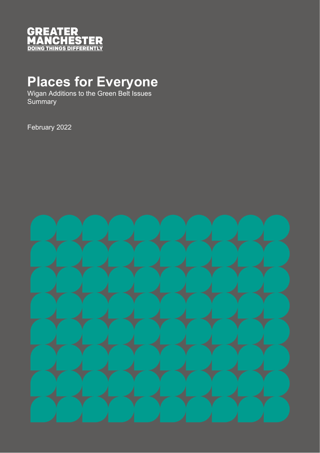

## **Places for Everyone**

Wigan Additions to the Green Belt Issues **Summary** 

February 2022

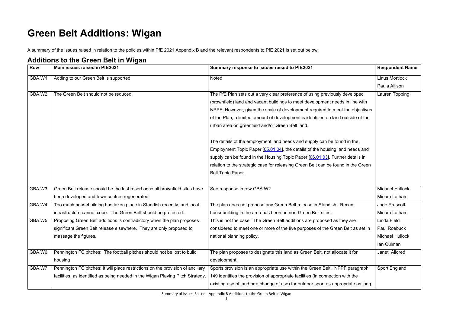Summary of Issues Raised - Appendix B Additions to the Green Belt in Wigan

## **Green Belt Additions: Wigan**

A summary of the issues raised in relation to the policies within PfE 2021 Appendix B and the relevant respondents to PfE 2021 is set out below:

## **Additions to the Green Belt in Wigan**

| <b>Row</b> | <b>HUMILIONS LOTING OTOGHT DUIL IN THYMIT</b><br>Main issues raised in PfE2021  | Summary response to issues raised to PfE2021                                      | <b>Respondent Name</b> |
|------------|---------------------------------------------------------------------------------|-----------------------------------------------------------------------------------|------------------------|
| GBA.W1     | Adding to our Green Belt is supported                                           | <b>Noted</b>                                                                      | Linus Mortlock         |
|            |                                                                                 |                                                                                   | Paula Allison          |
| GBA.W2     | The Green Belt should not be reduced                                            | The PfE Plan sets out a very clear preference of using previously developed       | Lauren Topping         |
|            |                                                                                 | (brownfield) land and vacant buildings to meet development needs in line with     |                        |
|            |                                                                                 | NPPF. However, given the scale of development required to meet the objectives     |                        |
|            |                                                                                 | of the Plan, a limited amount of development is identified on land outside of the |                        |
|            |                                                                                 | urban area on greenfield and/or Green Belt land.                                  |                        |
|            |                                                                                 | The details of the employment land needs and supply can be found in the           |                        |
|            |                                                                                 | Employment Topic Paper [05.01.04], the details of the housing land needs and      |                        |
|            |                                                                                 | supply can be found in the Housing Topic Paper [06.01.03]. Further details in     |                        |
|            |                                                                                 | relation to the strategic case for releasing Green Belt can be found in the Green |                        |
|            |                                                                                 | Belt Topic Paper.                                                                 |                        |
|            |                                                                                 |                                                                                   |                        |
| GBA.W3     | Green Belt release should be the last resort once all brownfield sites have     | See response in row GBA.W2                                                        | <b>Michael Hullock</b> |
|            | been developed and town centres regenerated.                                    |                                                                                   | Miriam Latham          |
| GBA.W4     | Too much housebuilding has taken place in Standish recently, and local          | The plan does not propose any Green Belt release in Standish. Recent              | <b>Jade Prescott</b>   |
|            | infrastructure cannot cope. The Green Belt should be protected.                 | housebuilding in the area has been on non-Green Belt sites.                       | Miriam Latham          |
| GBA.W5     | Proposing Green Belt additions is contradictory when the plan proposes          | This is not the case. The Green Belt additions are proposed as they are           | Linda Field            |
|            | significant Green Belt release elsewhere. They are only proposed to             | considered to meet one or more of the five purposes of the Green Belt as set in   | <b>Paul Roebuck</b>    |
|            | massage the figures.                                                            | national planning policy.                                                         | <b>Michael Hullock</b> |
|            |                                                                                 |                                                                                   | Ian Culman             |
| GBA.W6     | Pennington FC pitches: The football pitches should not be lost to build         | The plan proposes to designate this land as Green Belt, not allocate it for       | Janet Alldred          |
|            | housing                                                                         | development.                                                                      |                        |
| GBA.W7     | Pennington FC pitches: It will place restrictions on the provision of ancillary | Sports provision is an appropriate use within the Green Belt. NPPF paragraph      | <b>Sport England</b>   |
|            | facilities, as identified as being needed in the Wigan Playing Pitch Strategy.  | 149 identifies the provision of appropriate facilities (in connection with the    |                        |
|            |                                                                                 | existing use of land or a change of use) for outdoor sport as appropriate as long |                        |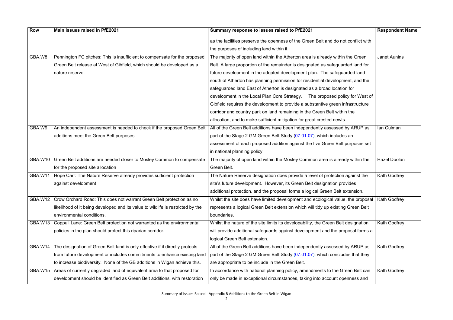| <b>Row</b>     | Main issues raised in PfE2021                                                   | Summary response to issues raised to PfE2021                                        | <b>Respondent Name</b> |
|----------------|---------------------------------------------------------------------------------|-------------------------------------------------------------------------------------|------------------------|
|                |                                                                                 | as the facilities preserve the openness of the Green Belt and do not conflict with  |                        |
|                |                                                                                 | the purposes of including land within it.                                           |                        |
| GBA.W8         | Pennington FC pitches: This is insufficient to compensate for the proposed      | The majority of open land within the Atherton area is already within the Green      | <b>Janet Aunins</b>    |
|                | Green Belt release at West of Gibfield, which should be developed as a          | Belt. A large proportion of the remainder is designated as safeguarded land for     |                        |
|                | nature reserve.                                                                 | future development in the adopted development plan. The safeguarded land            |                        |
|                |                                                                                 | south of Atherton has planning permission for residential development, and the      |                        |
|                |                                                                                 | safeguarded land East of Atherton is designated as a broad location for             |                        |
|                |                                                                                 | development in the Local Plan Core Strategy. The proposed policy for West of        |                        |
|                |                                                                                 | Gibfield requires the development to provide a substantive green infrastructure     |                        |
|                |                                                                                 | corridor and country park on land remaining in the Green Belt within the            |                        |
|                |                                                                                 | allocation, and to make sufficient mitigation for great crested newts.              |                        |
| GBA.W9         | An independent assessment is needed to check if the proposed Green Belt         | All of the Green Belt additions have been independently assessed by ARUP as         | Ian Culman             |
|                | additions meet the Green Belt purposes                                          | part of the Stage 2 GM Green Belt Study (07.01.07), which includes an               |                        |
|                |                                                                                 | assessment of each proposed addition against the five Green Belt purposes set       |                        |
|                |                                                                                 | in national planning policy.                                                        |                        |
| GBA.W10        | Green Belt additions are needed closer to Mosley Common to compensate           | The majority of open land within the Mosley Common area is already within the       | <b>Hazel Doolan</b>    |
|                | for the proposed site allocation                                                | Green Belt.                                                                         |                        |
| GBA.W11        | Hope Carr: The Nature Reserve already provides sufficient protection            | The Nature Reserve designation does provide a level of protection against the       | Kath Godfrey           |
|                | against development                                                             | site's future development. However, its Green Belt designation provides             |                        |
|                |                                                                                 | additional protection, and the proposal forms a logical Green Belt extension.       |                        |
| GBA.W12        | Crow Orchard Road: This does not warrant Green Belt protection as no            | Whilst the site does have limited development and ecological value, the proposal    | <b>Kath Godfrey</b>    |
|                | likelihood of it being developed and its value to wildlife is restricted by the | represents a logical Green Belt extension which will tidy up existing Green Belt    |                        |
|                | environmental conditions.                                                       | boundaries.                                                                         |                        |
| <b>GBA.W13</b> | Coppull Lane: Green Belt protection not warranted as the environmental          | Whilst the nature of the site limits its developability, the Green Belt designation | Kath Godfrey           |
|                | policies in the plan should protect this riparian corridor.                     | will provide additional safeguards against development and the proposal forms a     |                        |
|                |                                                                                 | logical Green Belt extension.                                                       |                        |
| GBA.W14        | The designation of Green Belt land is only effective if it directly protects    | All of the Green Belt additions have been independently assessed by ARUP as         | Kath Godfrey           |
|                | from future development or includes commitments to enhance existing land        | part of the Stage 2 GM Green Belt Study (07.01.07), which concludes that they       |                        |
|                | to increase biodiversity. None of the GB additions in Wigan achieve this.       | are appropriate to be include in the Green Belt.                                    |                        |
| GBA.W15        | Areas of currently degraded land of equivalent area to that proposed for        | In accordance with national planning policy, amendments to the Green Belt can       | <b>Kath Godfrey</b>    |
|                | development should be identified as Green Belt additions, with restoration      | only be made in exceptional circumstances, taking into account openness and         |                        |